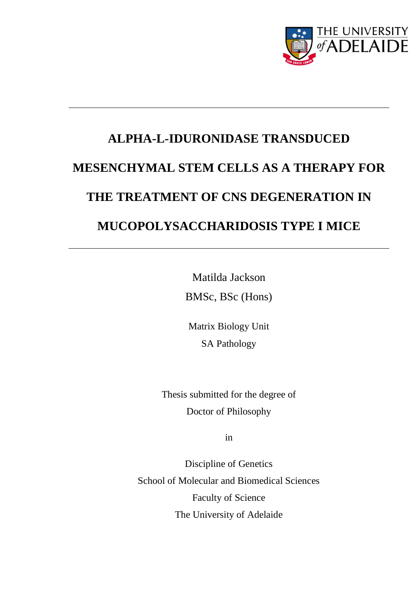

# **ALPHA-L-IDURONIDASE TRANSDUCED MESENCHYMAL STEM CELLS AS A THERAPY FOR THE TREATMENT OF CNS DEGENERATION IN MUCOPOLYSACCHARIDOSIS TYPE I MICE**

Matilda Jackson BMSc, BSc (Hons)

Matrix Biology Unit SA Pathology

Thesis submitted for the degree of Doctor of Philosophy

in

Discipline of Genetics School of Molecular and Biomedical Sciences Faculty of Science The University of Adelaide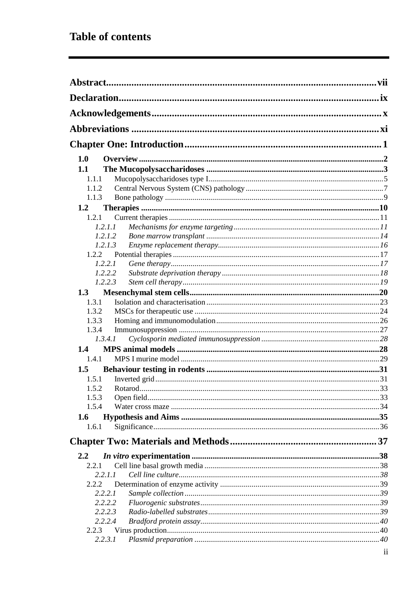## **Table of contents**

| 1.0           |                |  |
|---------------|----------------|--|
| 1.1           |                |  |
| 1.1.1         |                |  |
| 1.1.2         |                |  |
| 1.1.3         |                |  |
| 1.2           |                |  |
| 1.2.1         |                |  |
|               | 1.2.1.1        |  |
|               | 1.2.1.2        |  |
|               | 1.2.1.3        |  |
|               | 1.2.2          |  |
|               | 1.2.2.1        |  |
|               | 1.2.2.2        |  |
|               | 1.2.2.3        |  |
| 1.3           |                |  |
| 1.3.1         |                |  |
| 1.3.2         |                |  |
| 1.3.3         |                |  |
| 1.3.4         |                |  |
|               | 1.3.4.1        |  |
| $1.4^{\circ}$ |                |  |
| 1.4.1         |                |  |
| 1.5           |                |  |
| 1.5.1         |                |  |
|               | 1.5.2 Rotarod. |  |
| 1.5.3         |                |  |
| 1.5.4         |                |  |
| 1.6           |                |  |
| 1.6.1         |                |  |
|               |                |  |
| $2.2^{\circ}$ |                |  |
| 2.2.1         |                |  |
|               | 2.2.1.1        |  |
| 2.2.2         |                |  |
|               | 2.2.2.1        |  |
|               | 2.2.2.2        |  |
|               | 2.2.2.3        |  |
|               | 2.2.2.4        |  |
| 2.2.3         |                |  |
|               | 2.2.3.1        |  |
|               |                |  |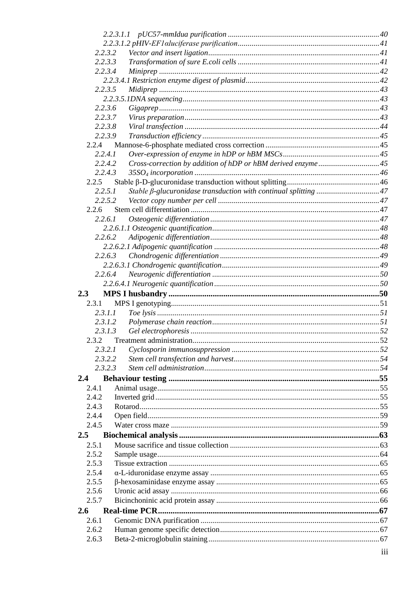|                | 2.2.3.2                                                                    |  |
|----------------|----------------------------------------------------------------------------|--|
|                | 2.2.3.3                                                                    |  |
|                | 2.2.3.4                                                                    |  |
|                |                                                                            |  |
|                | 2.2.3.5                                                                    |  |
|                |                                                                            |  |
|                | 2.2.3.6                                                                    |  |
|                | 2.2.3.7                                                                    |  |
|                | 2.2.3.8                                                                    |  |
|                | 2.2.3.9                                                                    |  |
| 2.2.4          |                                                                            |  |
|                | 2.2.4.1                                                                    |  |
|                | Cross-correction by addition of hDP or hBM derived enzyme45<br>2.2.4.2     |  |
|                | 2.2.4.3                                                                    |  |
| 2.2.5          |                                                                            |  |
|                | Stable β-glucuronidase transduction with continual splitting 47<br>2.2.5.1 |  |
|                | 2.2.5.2                                                                    |  |
| 2.2.6          |                                                                            |  |
| 2.2.6.1        |                                                                            |  |
|                |                                                                            |  |
|                | 2.2.6.2                                                                    |  |
|                |                                                                            |  |
|                | 2.2.6.3                                                                    |  |
|                |                                                                            |  |
|                | 2.2.6.4                                                                    |  |
|                |                                                                            |  |
| 2.3            |                                                                            |  |
| 2.3.1          |                                                                            |  |
|                | 2.3.1.1                                                                    |  |
|                | 2.3.1.2                                                                    |  |
|                | 2.3.1.3                                                                    |  |
| 2.3.2          |                                                                            |  |
|                | 2.3.2.1                                                                    |  |
|                |                                                                            |  |
|                | 2.3.2.2                                                                    |  |
|                | 2.3.2.3                                                                    |  |
| 2.4            |                                                                            |  |
| 2.4.1          |                                                                            |  |
| 2.4.2          |                                                                            |  |
| 2.4.3          |                                                                            |  |
| 2.4.4          |                                                                            |  |
| 2.4.5          |                                                                            |  |
| 2.5            |                                                                            |  |
| 2.5.1          |                                                                            |  |
| 2.5.2          |                                                                            |  |
| 2.5.3          |                                                                            |  |
| 2.5.4          |                                                                            |  |
| 2.5.5          |                                                                            |  |
| 2.5.6          |                                                                            |  |
| 2.5.7          |                                                                            |  |
|                |                                                                            |  |
|                |                                                                            |  |
| $2.6^{\circ}$  |                                                                            |  |
| 2.6.1          |                                                                            |  |
| 2.6.2<br>2.6.3 |                                                                            |  |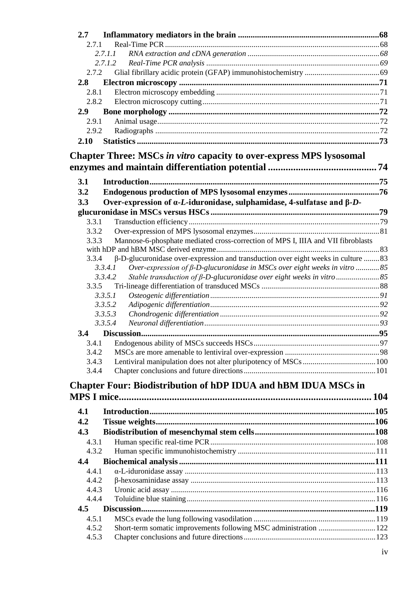| 2.7   |                                                                                                         |  |
|-------|---------------------------------------------------------------------------------------------------------|--|
| 2.7.1 |                                                                                                         |  |
|       | 2, 7, 1, 1                                                                                              |  |
|       | 2.7.1.2                                                                                                 |  |
| 2.7.2 |                                                                                                         |  |
| 2.8   |                                                                                                         |  |
| 2.8.1 |                                                                                                         |  |
| 2.8.2 |                                                                                                         |  |
| 2.9   |                                                                                                         |  |
| 2.9.1 |                                                                                                         |  |
| 2.9.2 |                                                                                                         |  |
| 2.10  |                                                                                                         |  |
|       | Chapter Three: MSCs in vitro capacity to over-express MPS lysosomal                                     |  |
|       |                                                                                                         |  |
| 3.1   |                                                                                                         |  |
|       |                                                                                                         |  |
| 3.2   |                                                                                                         |  |
| 3.3   | Over-expression of $\alpha$ - <i>L</i> -iduronidase, sulphamidase, 4-sulfatase and $\beta$ - <i>D</i> - |  |
|       |                                                                                                         |  |
| 3.3.1 |                                                                                                         |  |
| 3.3.2 |                                                                                                         |  |
| 3.3.3 | Mannose-6-phosphate mediated cross-correction of MPS I, IIIA and VII fibroblasts                        |  |
|       |                                                                                                         |  |
| 3.3.4 | β-D-glucuronidase over-expression and transduction over eight weeks in culture 83                       |  |
|       | Over-expression of $\beta$ -D-glucuronidase in MSCs over eight weeks in vitro 85<br>3.3.4.1             |  |
|       | 3.3.4.2                                                                                                 |  |
| 3.3.5 |                                                                                                         |  |
|       | 3.3.5.1<br>3.3.5.2                                                                                      |  |
|       | 3.3.5.3                                                                                                 |  |
|       | 3.3.5.4                                                                                                 |  |
|       |                                                                                                         |  |
| 3.4   |                                                                                                         |  |
|       |                                                                                                         |  |
| 3.4.2 |                                                                                                         |  |
| 3.4.3 |                                                                                                         |  |
| 3.4.4 |                                                                                                         |  |
|       | <b>Chapter Four: Biodistribution of hDP IDUA and hBM IDUA MSCs in</b>                                   |  |
|       |                                                                                                         |  |
| 4.1   |                                                                                                         |  |
| 4.2   |                                                                                                         |  |
| 4.3   |                                                                                                         |  |
| 4.3.1 |                                                                                                         |  |
| 4.3.2 |                                                                                                         |  |
| 4.4   |                                                                                                         |  |
| 4.4.1 |                                                                                                         |  |
| 4.4.2 |                                                                                                         |  |
| 4.4.3 |                                                                                                         |  |
| 4.4.4 |                                                                                                         |  |
| 4.5   |                                                                                                         |  |
| 4.5.1 |                                                                                                         |  |
| 4.5.2 | Short-term somatic improvements following MSC administration  122                                       |  |
| 4.5.3 |                                                                                                         |  |
|       |                                                                                                         |  |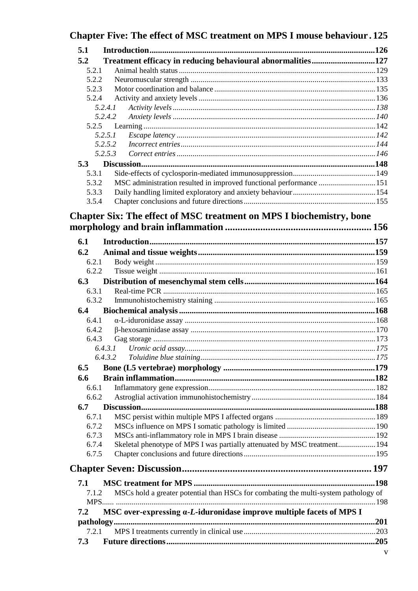|         | Chapter Five: The effect of MSC treatment on MPS I mouse behaviour. 125             |  |
|---------|-------------------------------------------------------------------------------------|--|
| 5.1     |                                                                                     |  |
| 5.2     | Treatment efficacy in reducing behavioural abnormalities127                         |  |
| 5.2.1   |                                                                                     |  |
| 5.2.2   |                                                                                     |  |
| 5.2.3   |                                                                                     |  |
| 5.2.4   |                                                                                     |  |
| 5.2.4.1 |                                                                                     |  |
| 5.2.4.2 |                                                                                     |  |
| 5.2.5   |                                                                                     |  |
| 5.2.5.1 |                                                                                     |  |
| 5.2.5.2 |                                                                                     |  |
| 5.2.5.3 |                                                                                     |  |
| 5.3     |                                                                                     |  |
| 5.3.1   |                                                                                     |  |
| 5.3.2   | MSC administration resulted in improved functional performance 151                  |  |
| 5.3.3   |                                                                                     |  |
| 3.5.4   |                                                                                     |  |
|         | Chapter Six: The effect of MSC treatment on MPS I biochemistry, bone                |  |
|         |                                                                                     |  |
|         |                                                                                     |  |
| 6.1     |                                                                                     |  |
| 6.2     |                                                                                     |  |
| 6.2.1   |                                                                                     |  |
| 6.2.2   |                                                                                     |  |
| 6.3     |                                                                                     |  |
| 6.3.1   |                                                                                     |  |
| 6.3.2   |                                                                                     |  |
| 6.4     |                                                                                     |  |
| 6.4.1   |                                                                                     |  |
| 6.4.2   |                                                                                     |  |
| 6.4.3   |                                                                                     |  |
| 6.4.3.1 |                                                                                     |  |
| 6.4.3.2 |                                                                                     |  |
| 6.5     |                                                                                     |  |
| 6.6     |                                                                                     |  |
| 6.6.1   |                                                                                     |  |
| 6.6.2   |                                                                                     |  |
| 6.7     |                                                                                     |  |
| 6.7.1   |                                                                                     |  |
| 6.7.2   |                                                                                     |  |
| 6.7.3   |                                                                                     |  |
| 6.7.4   | Skeletal phenotype of MPS I was partially attenuated by MSC treatment 194           |  |
| 6.7.5   |                                                                                     |  |
|         |                                                                                     |  |
|         |                                                                                     |  |
| 7.1     |                                                                                     |  |
| 7.1.2   | MSCs hold a greater potential than HSCs for combating the multi-system pathology of |  |
|         |                                                                                     |  |
| 7.2     | MSC over-expressing a-L-iduronidase improve multiple facets of MPS I                |  |
|         |                                                                                     |  |
| 7.2.1   |                                                                                     |  |
| 7.3     |                                                                                     |  |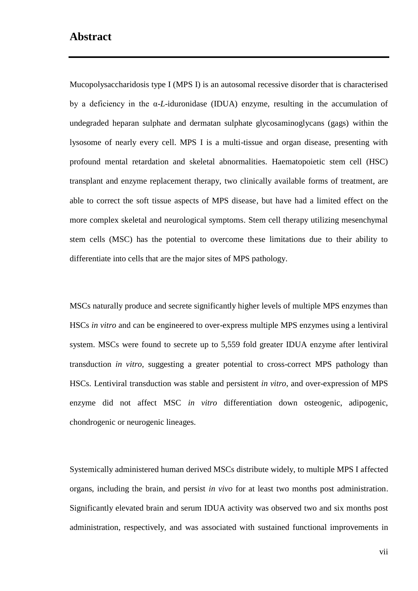### <span id="page-6-0"></span>**Abstract**

Mucopolysaccharidosis type I (MPS I) is an autosomal recessive disorder that is characterised by a deficiency in the α-*L*-iduronidase (IDUA) enzyme, resulting in the accumulation of undegraded heparan sulphate and dermatan sulphate glycosaminoglycans (gags) within the lysosome of nearly every cell. MPS I is a multi-tissue and organ disease, presenting with profound mental retardation and skeletal abnormalities. Haematopoietic stem cell (HSC) transplant and enzyme replacement therapy, two clinically available forms of treatment, are able to correct the soft tissue aspects of MPS disease, but have had a limited effect on the more complex skeletal and neurological symptoms. Stem cell therapy utilizing mesenchymal stem cells (MSC) has the potential to overcome these limitations due to their ability to differentiate into cells that are the major sites of MPS pathology.

MSCs naturally produce and secrete significantly higher levels of multiple MPS enzymes than HSCs *in vitro* and can be engineered to over-express multiple MPS enzymes using a lentiviral system. MSCs were found to secrete up to 5,559 fold greater IDUA enzyme after lentiviral transduction *in vitro*, suggesting a greater potential to cross-correct MPS pathology than HSCs. Lentiviral transduction was stable and persistent *in vitro*, and over-expression of MPS enzyme did not affect MSC *in vitro* differentiation down osteogenic, adipogenic, chondrogenic or neurogenic lineages.

Systemically administered human derived MSCs distribute widely, to multiple MPS I affected organs, including the brain, and persist *in vivo* for at least two months post administration. Significantly elevated brain and serum IDUA activity was observed two and six months post administration, respectively, and was associated with sustained functional improvements in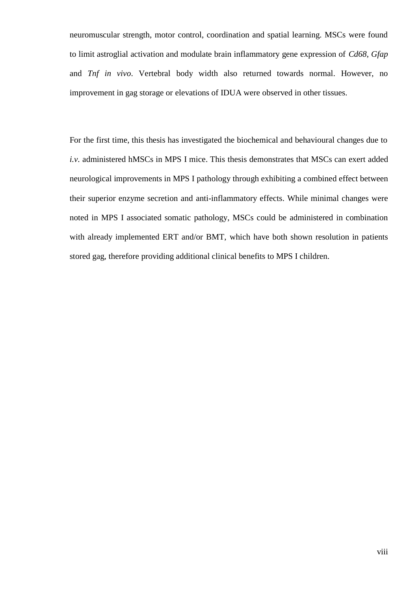neuromuscular strength, motor control, coordination and spatial learning. MSCs were found to limit astroglial activation and modulate brain inflammatory gene expression of *Cd68*, *Gfap* and *Tnf in vivo*. Vertebral body width also returned towards normal. However, no improvement in gag storage or elevations of IDUA were observed in other tissues.

For the first time, this thesis has investigated the biochemical and behavioural changes due to *i.v.* administered hMSCs in MPS I mice. This thesis demonstrates that MSCs can exert added neurological improvements in MPS I pathology through exhibiting a combined effect between their superior enzyme secretion and anti-inflammatory effects. While minimal changes were noted in MPS I associated somatic pathology, MSCs could be administered in combination with already implemented ERT and/or BMT, which have both shown resolution in patients stored gag, therefore providing additional clinical benefits to MPS I children.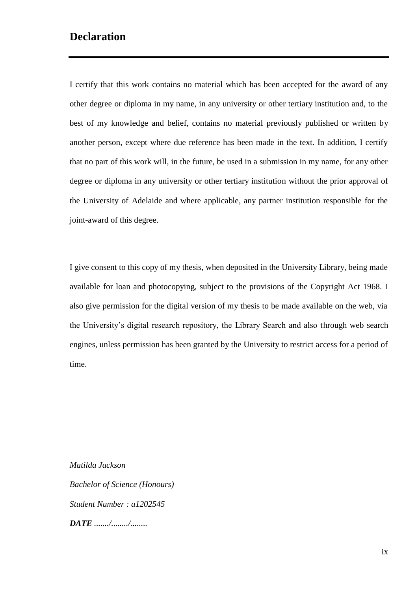## <span id="page-8-0"></span>**Declaration**

I certify that this work contains no material which has been accepted for the award of any other degree or diploma in my name, in any university or other tertiary institution and, to the best of my knowledge and belief, contains no material previously published or written by another person, except where due reference has been made in the text. In addition, I certify that no part of this work will, in the future, be used in a submission in my name, for any other degree or diploma in any university or other tertiary institution without the prior approval of the University of Adelaide and where applicable, any partner institution responsible for the joint-award of this degree.

I give consent to this copy of my thesis, when deposited in the University Library, being made available for loan and photocopying, subject to the provisions of the Copyright Act 1968. I also give permission for the digital version of my thesis to be made available on the web, via the University's digital research repository, the Library Search and also through web search engines, unless permission has been granted by the University to restrict access for a period of time.

*Matilda Jackson Bachelor of Science (Honours) Student Number : a1202545 DATE ......./......../........*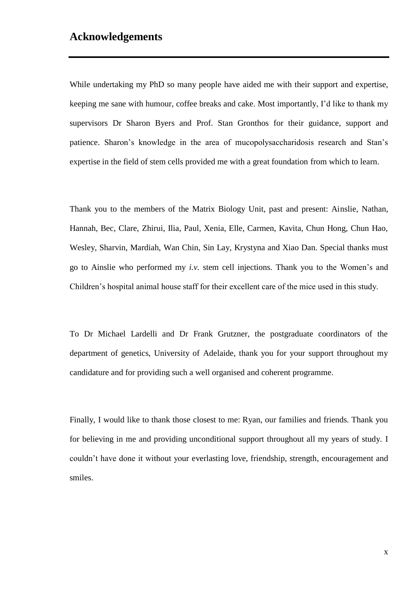#### <span id="page-9-0"></span>**Acknowledgements**

While undertaking my PhD so many people have aided me with their support and expertise, keeping me sane with humour, coffee breaks and cake. Most importantly, I'd like to thank my supervisors Dr Sharon Byers and Prof. Stan Gronthos for their guidance, support and patience. Sharon's knowledge in the area of mucopolysaccharidosis research and Stan's expertise in the field of stem cells provided me with a great foundation from which to learn.

Thank you to the members of the Matrix Biology Unit, past and present: Ainslie, Nathan, Hannah, Bec, Clare, Zhirui, Ilia, Paul, Xenia, Elle, Carmen, Kavita, Chun Hong, Chun Hao, Wesley, Sharvin, Mardiah, Wan Chin, Sin Lay, Krystyna and Xiao Dan. Special thanks must go to Ainslie who performed my *i.v.* stem cell injections. Thank you to the Women's and Children's hospital animal house staff for their excellent care of the mice used in this study.

To Dr Michael Lardelli and Dr Frank Grutzner, the postgraduate coordinators of the department of genetics, University of Adelaide, thank you for your support throughout my candidature and for providing such a well organised and coherent programme.

Finally, I would like to thank those closest to me: Ryan, our families and friends. Thank you for believing in me and providing unconditional support throughout all my years of study. I couldn't have done it without your everlasting love, friendship, strength, encouragement and smiles.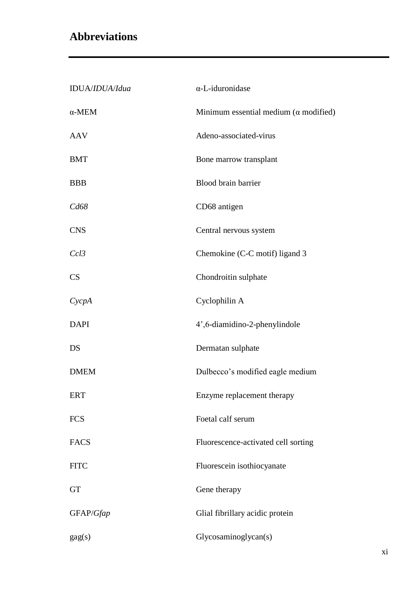# <span id="page-10-0"></span>**Abbreviations**

| IDUA/IDUA/Idua  | α-L-iduronidase                                      |
|-----------------|------------------------------------------------------|
| $\alpha$ -MEM   | Minimum essential medium $(\alpha \text{ modified})$ |
| <b>AAV</b>      | Adeno-associated-virus                               |
| <b>BMT</b>      | Bone marrow transplant                               |
| <b>BBB</b>      | Blood brain barrier                                  |
| Cd68            | CD68 antigen                                         |
| <b>CNS</b>      | Central nervous system                               |
| Ccl3            | Chemokine (C-C motif) ligand 3                       |
| CS              | Chondroitin sulphate                                 |
| CycpA           | Cyclophilin A                                        |
| <b>DAPI</b>     | 4',6-diamidino-2-phenylindole                        |
| DS              | Dermatan sulphate                                    |
| <b>DMEM</b>     | Dulbecco's modified eagle medium                     |
| <b>ERT</b>      | Enzyme replacement therapy                           |
| <b>FCS</b>      | Foetal calf serum                                    |
| <b>FACS</b>     | Fluorescence-activated cell sorting                  |
| <b>FITC</b>     | Fluorescein isothiocyanate                           |
| <b>GT</b>       | Gene therapy                                         |
| GFAP/Gfap       | Glial fibrillary acidic protein                      |
| $\text{gag}(s)$ | Glycosaminoglycan(s)                                 |